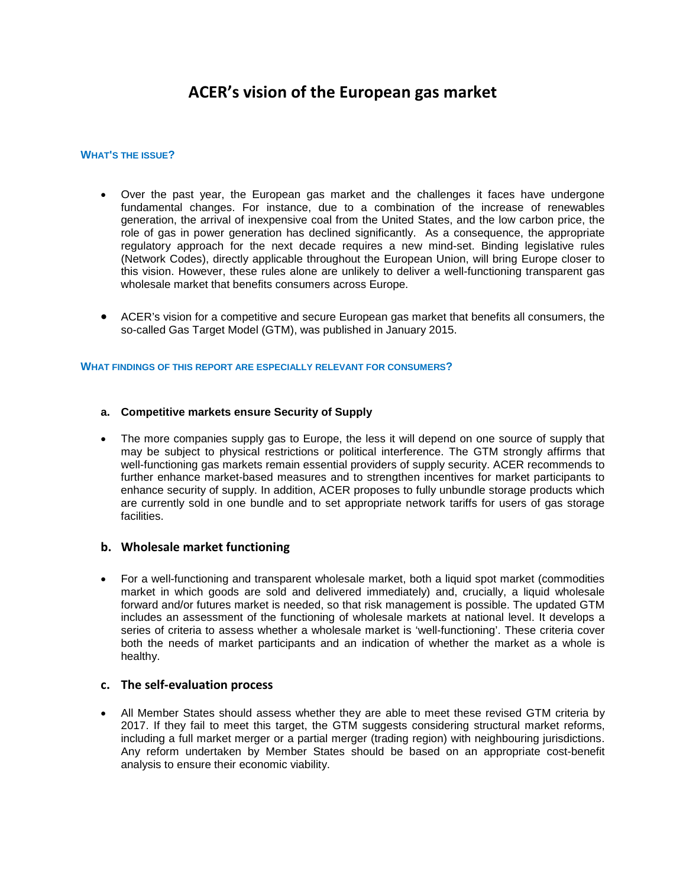# **ACER's vision of the European gas market**

#### **WHAT'S THE ISSUE?**

- Over the past year, the European gas market and the challenges it faces have undergone fundamental changes. For instance, due to a combination of the increase of renewables generation, the arrival of inexpensive coal from the United States, and the low carbon price, the role of gas in power generation has declined significantly. As a consequence, the appropriate regulatory approach for the next decade requires a new mind-set. Binding legislative rules (Network Codes), directly applicable throughout the European Union, will bring Europe closer to this vision. However, these rules alone are unlikely to deliver a well-functioning transparent gas wholesale market that benefits consumers across Europe.
- ACER's vision for a competitive and secure European gas market that benefits all consumers, the so-called Gas Target Model (GTM), was published in January 2015.

#### **WHAT FINDINGS OF THIS REPORT ARE ESPECIALLY RELEVANT FOR CONSUMERS?**

#### **a. Competitive markets ensure Security of Supply**

• The more companies supply gas to Europe, the less it will depend on one source of supply that may be subject to physical restrictions or political interference. The GTM strongly affirms that well-functioning gas markets remain essential providers of supply security. ACER recommends to further enhance market-based measures and to strengthen incentives for market participants to enhance security of supply. In addition, ACER proposes to fully unbundle storage products which are currently sold in one bundle and to set appropriate network tariffs for users of gas storage facilities.

### **b. Wholesale market functioning**

• For a well-functioning and transparent wholesale market, both a liquid spot market (commodities market in which goods are sold and delivered immediately) and, crucially, a liquid wholesale forward and/or futures market is needed, so that risk management is possible. The updated GTM includes an assessment of the functioning of wholesale markets at national level. It develops a series of criteria to assess whether a wholesale market is 'well-functioning'. These criteria cover both the needs of market participants and an indication of whether the market as a whole is healthy.

# **c. The self-evaluation process**

• All Member States should assess whether they are able to meet these revised GTM criteria by 2017. If they fail to meet this target, the GTM suggests considering structural market reforms, including a full market merger or a partial merger (trading region) with neighbouring jurisdictions. Any reform undertaken by Member States should be based on an appropriate cost-benefit analysis to ensure their economic viability.